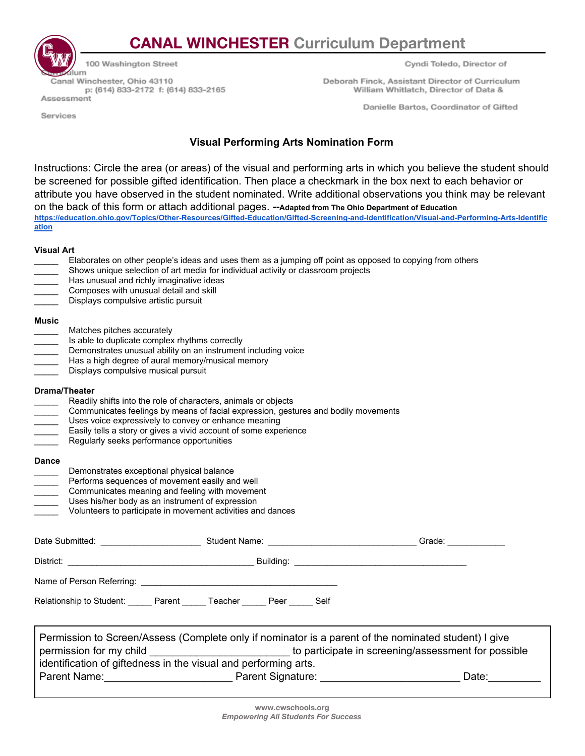## **CANAL WINCHESTER Curriculum Department**

100 Washington Street ilum Canal Winchester, Ohio 43110 p: (614) 833-2172 f: (614) 833-2165 Assessment

Cyndi Toledo, Director of

Deborah Finck, Assistant Director of Curriculum William Whitlatch, Director of Data &

Danielle Bartos, Coordinator of Gifted

Services

## **Visual Performing Arts Nomination Form**

Instructions: Circle the area (or areas) of the visual and performing arts in which you believe the student should be screened for possible gifted identification. Then place a checkmark in the box next to each behavior or attribute you have observed in the student nominated. Write additional observations you think may be relevant on the back of this form or attach additional pages. **--Adapted from The Ohio Department of Education [https://education.ohio.gov/Topics/Other-Resources/Gifted-Education/Gifted-Screening-and-Identification/Visual-and-Performing-Arts-Identific](https://education.ohio.gov/Topics/Other-Resources/Gifted-Education/Gifted-Screening-and-Identification/Visual-and-Performing-Arts-Identification) [ation](https://education.ohio.gov/Topics/Other-Resources/Gifted-Education/Gifted-Screening-and-Identification/Visual-and-Performing-Arts-Identification)**

## **Visual Art**

|                                          | Has unusual and richly imaginative ideas<br>Composes with unusual detail and skill<br>Displays compulsive artistic pursuit                                                                        | Elaborates on other people's ideas and uses them as a jumping off point as opposed to copying from others<br>Shows unique selection of art media for individual activity or classroom projects                                                                                   |  |       |
|------------------------------------------|---------------------------------------------------------------------------------------------------------------------------------------------------------------------------------------------------|----------------------------------------------------------------------------------------------------------------------------------------------------------------------------------------------------------------------------------------------------------------------------------|--|-------|
| <b>Music</b><br>$\sim$                   | Matches pitches accurately<br>Is able to duplicate complex rhythms correctly<br>Has a high degree of aural memory/musical memory<br>Displays compulsive musical pursuit                           | Demonstrates unusual ability on an instrument including voice                                                                                                                                                                                                                    |  |       |
| <b>Drama/Theater</b>                     | Regularly seeks performance opportunities                                                                                                                                                         | Readily shifts into the role of characters, animals or objects<br>Communicates feelings by means of facial expression, gestures and bodily movements<br>Uses voice expressively to convey or enhance meaning<br>Easily tells a story or gives a vivid account of some experience |  |       |
| <b>Dance</b><br>$\overline{\phantom{a}}$ | Demonstrates exceptional physical balance<br>Performs sequences of movement easily and well<br>Communicates meaning and feeling with movement<br>Uses his/her body as an instrument of expression | Volunteers to participate in movement activities and dances                                                                                                                                                                                                                      |  |       |
|                                          |                                                                                                                                                                                                   |                                                                                                                                                                                                                                                                                  |  |       |
|                                          |                                                                                                                                                                                                   |                                                                                                                                                                                                                                                                                  |  |       |
|                                          |                                                                                                                                                                                                   |                                                                                                                                                                                                                                                                                  |  |       |
|                                          |                                                                                                                                                                                                   | Relationship to Student: Parent ______ Teacher ______ Peer ______ Self                                                                                                                                                                                                           |  |       |
|                                          | permission for my child                                                                                                                                                                           | Permission to Screen/Assess (Complete only if nominator is a parent of the nominated student) I give<br>to participate in screening/assessment for possible<br>identification of giftedness in the visual and performing arts.                                                   |  |       |
|                                          |                                                                                                                                                                                                   |                                                                                                                                                                                                                                                                                  |  | Date: |